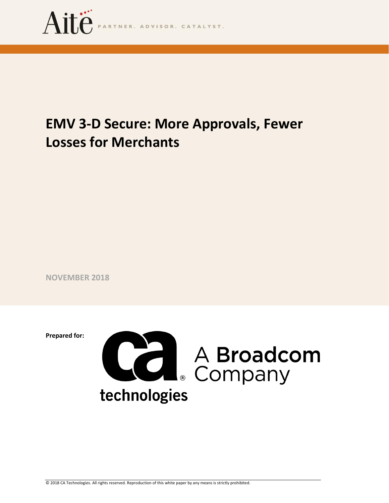

# **EMV 3-D Secure: More Approvals, Fewer Losses for Merchants**

**NOVEMBER 2018**

**Prepared for:**

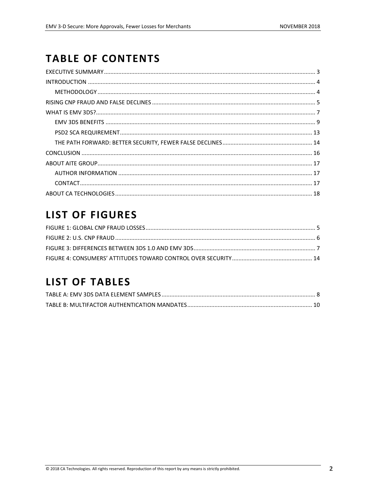## **TABLE OF CONTENTS**

## **LIST OF FIGURES**

## **LIST OF TABLES**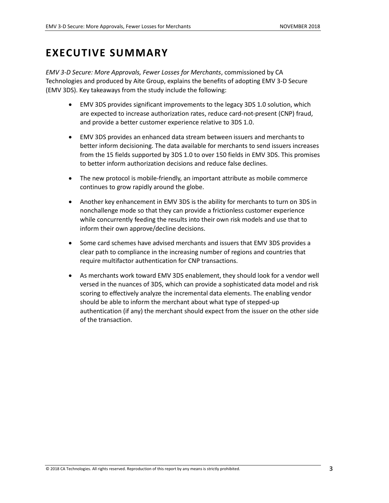### <span id="page-2-0"></span>**EXECUTIVE SUMMARY**

*EMV 3-D Secure: More Approvals, Fewer Losses for Merchants*, commissioned by CA Technologies and produced by Aite Group, explains the benefits of adopting EMV 3-D Secure (EMV 3DS). Key takeaways from the study include the following:

- EMV 3DS provides significant improvements to the legacy 3DS 1.0 solution, which are expected to increase authorization rates, reduce card-not-present (CNP) fraud, and provide a better customer experience relative to 3DS 1.0.
- EMV 3DS provides an enhanced data stream between issuers and merchants to better inform decisioning. The data available for merchants to send issuers increases from the 15 fields supported by 3DS 1.0 to over 150 fields in EMV 3DS. This promises to better inform authorization decisions and reduce false declines.
- The new protocol is mobile-friendly, an important attribute as mobile commerce continues to grow rapidly around the globe.
- Another key enhancement in EMV 3DS is the ability for merchants to turn on 3DS in nonchallenge mode so that they can provide a frictionless customer experience while concurrently feeding the results into their own risk models and use that to inform their own approve/decline decisions.
- Some card schemes have advised merchants and issuers that EMV 3DS provides a clear path to compliance in the increasing number of regions and countries that require multifactor authentication for CNP transactions.
- As merchants work toward EMV 3DS enablement, they should look for a vendor well versed in the nuances of 3DS, which can provide a sophisticated data model and risk scoring to effectively analyze the incremental data elements. The enabling vendor should be able to inform the merchant about what type of stepped-up authentication (if any) the merchant should expect from the issuer on the other side of the transaction.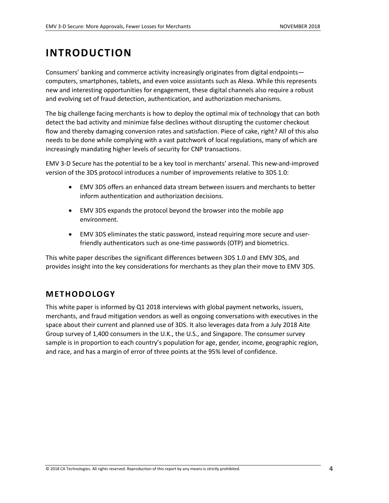## <span id="page-3-0"></span>**INTRODUCTION**

Consumers' banking and commerce activity increasingly originates from digital endpoints computers, smartphones, tablets, and even voice assistants such as Alexa. While this represents new and interesting opportunities for engagement, these digital channels also require a robust and evolving set of fraud detection, authentication, and authorization mechanisms.

The big challenge facing merchants is how to deploy the optimal mix of technology that can both detect the bad activity and minimize false declines without disrupting the customer checkout flow and thereby damaging conversion rates and satisfaction. Piece of cake, right? All of this also needs to be done while complying with a vast patchwork of local regulations, many of which are increasingly mandating higher levels of security for CNP transactions.

EMV 3-D Secure has the potential to be a key tool in merchants' arsenal. This new-and-improved version of the 3DS protocol introduces a number of improvements relative to 3DS 1.0:

- EMV 3DS offers an enhanced data stream between issuers and merchants to better inform authentication and authorization decisions.
- EMV 3DS expands the protocol beyond the browser into the mobile app environment.
- EMV 3DS eliminates the static password, instead requiring more secure and userfriendly authenticators such as one-time passwords (OTP) and biometrics.

This white paper describes the significant differences between 3DS 1.0 and EMV 3DS, and provides insight into the key considerations for merchants as they plan their move to EMV 3DS.

### <span id="page-3-1"></span>**METHODOLOGY**

This white paper is informed by Q1 2018 interviews with global payment networks, issuers, merchants, and fraud mitigation vendors as well as ongoing conversations with executives in the space about their current and planned use of 3DS. It also leverages data from a July 2018 Aite Group survey of 1,400 consumers in the U.K., the U.S., and Singapore. The consumer survey sample is in proportion to each country's population for age, gender, income, geographic region, and race, and has a margin of error of three points at the 95% level of confidence.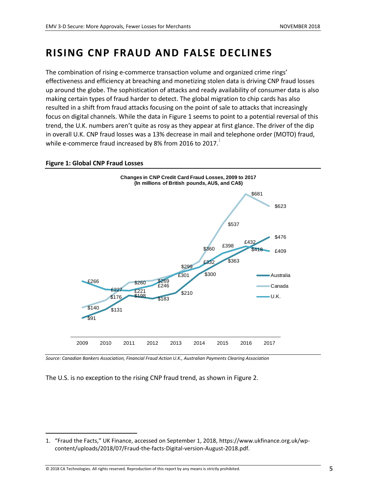### <span id="page-4-0"></span>**RISING CNP FRAUD AND FALSE DECLINES**

The combination of rising e-commerce transaction volume and organized crime rings' effectiveness and efficiency at breaching and monetizing stolen data is driving CNP fraud losses up around the globe. The sophistication of attacks and ready availability of consumer data is also making certain types of fraud harder to detect. The global migration to chip cards has also resulted in a shift from fraud attacks focusing on the point of sale to attacks that increasingly focus on digital channels. While the data in [Figure 1](#page-4-1) seems to point to a potential reversal of this trend, the U.K. numbers aren't quite as rosy as they appear at first glance. The driver of the dip in overall U.K. CNP fraud losses was a 13% decrease in mail and telephone order (MOTO) fraud, while e-commerce fraud increased by 8% from 2016 to 2017.

#### <span id="page-4-1"></span>**Figure 1: Global CNP Fraud Losses**

 $\overline{\phantom{a}}$ 



*Source: Canadian Bankers Association, Financial Fraud Action U.K., Australian Payments Clearing Association* 

The U.S. is no exception to the rising CNP fraud trend, as shown in [Figure 2.](#page-5-0)

<sup>1.</sup> "Fraud the Facts," UK Finance, accessed on September 1, 2018, https://www.ukfinance.org.uk/wpcontent/uploads/2018/07/Fraud-the-facts-Digital-version-August-2018.pdf.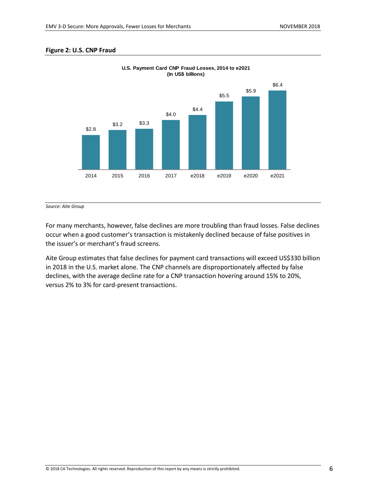#### <span id="page-5-0"></span>**Figure 2: U.S. CNP Fraud**



**U.S. Payment Card CNP Fraud Losses, 2014 to e2021 (In US\$ billions)**

*Source: Aite Group*

For many merchants, however, false declines are more troubling than fraud losses. False declines occur when a good customer's transaction is mistakenly declined because of false positives in the issuer's or merchant's fraud screens.

Aite Group estimates that false declines for payment card transactions will exceed US\$330 billion in 2018 in the U.S. market alone. The CNP channels are disproportionately affected by false declines, with the average decline rate for a CNP transaction hovering around 15% to 20%, versus 2% to 3% for card-present transactions.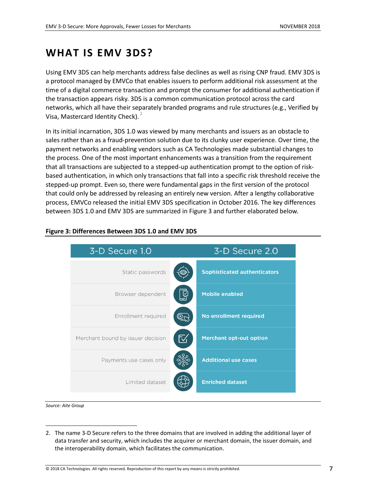### <span id="page-6-0"></span>**WHAT IS EMV 3DS?**

Using EMV 3DS can help merchants address false declines as well as rising CNP fraud. EMV 3DS is a protocol managed by EMVCo that enables issuers to perform additional risk assessment at the time of a digital commerce transaction and prompt the consumer for additional authentication if the transaction appears risky. 3DS is a common communication protocol across the card networks, which all have their separately branded programs and rule structures (e.g., Verified by Visa, Mastercard Identity Check).<sup>2</sup>

In its initial incarnation, 3DS 1.0 was viewed by many merchants and issuers as an obstacle to sales rather than as a fraud-prevention solution due to its clunky user experience. Over time, the payment networks and enabling vendors such as CA Technologies made substantial changes to the process. One of the most important enhancements was a transition from the requirement that all transactions are subjected to a stepped-up authentication prompt to the option of riskbased authentication, in which only transactions that fall into a specific risk threshold receive the stepped-up prompt. Even so, there were fundamental gaps in the first version of the protocol that could only be addressed by releasing an entirely new version. After a lengthy collaborative process, EMVCo released the initial EMV 3DS specification in October 2016. The key differences between 3DS 1.0 and EMV 3DS are summarized i[n Figure 3](#page-6-1) and further elaborated below.



#### <span id="page-6-1"></span>**Figure 3: Differences Between 3DS 1.0 and EMV 3DS**

*Source: Aite Group*

 $\overline{\phantom{a}}$ 

<sup>2.</sup> The name 3-D Secure refers to the three domains that are involved in adding the additional layer of data transfer and security, which includes the acquirer or merchant domain, the issuer domain, and the interoperability domain, which facilitates the communication.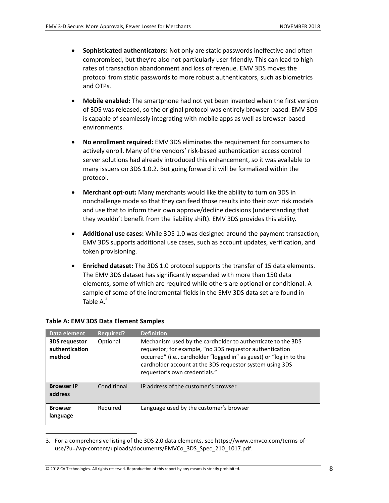- **Sophisticated authenticators:** Not only are static passwords ineffective and often compromised, but they're also not particularly user-friendly. This can lead to high rates of transaction abandonment and loss of revenue. EMV 3DS moves the protocol from static passwords to more robust authenticators, such as biometrics and OTPs.
- **Mobile enabled:** The smartphone had not yet been invented when the first version of 3DS was released, so the original protocol was entirely browser-based. EMV 3DS is capable of seamlessly integrating with mobile apps as well as browser-based environments.
- **No enrollment required:** EMV 3DS eliminates the requirement for consumers to actively enroll. Many of the vendors' risk-based authentication access control server solutions had already introduced this enhancement, so it was available to many issuers on 3DS 1.0.2. But going forward it will be formalized within the protocol.
- **Merchant opt-out:** Many merchants would like the ability to turn on 3DS in nonchallenge mode so that they can feed those results into their own risk models and use that to inform their own approve/decline decisions (understanding that they wouldn't benefit from the liability shift). EMV 3DS provides this ability.
- **Additional use cases:** While 3DS 1.0 was designed around the payment transaction, EMV 3DS supports additional use cases, such as account updates, verification, and token provisioning.
- **Enriched dataset:** The 3DS 1.0 protocol supports the transfer of 15 data elements. The EMV 3DS dataset has significantly expanded with more than 150 data elements, some of which are required while others are optional or conditional. A sample of some of the incremental fields in the EMV 3DS data set are found in [Table A.](#page-7-0) $^3$

| Data element                                     | <b>Required?</b> | <b>Definition</b>                                                                                                                                                                                                                                                                           |
|--------------------------------------------------|------------------|---------------------------------------------------------------------------------------------------------------------------------------------------------------------------------------------------------------------------------------------------------------------------------------------|
| <b>3DS requestor</b><br>authentication<br>method | Optional         | Mechanism used by the cardholder to authenticate to the 3DS<br>requestor; for example, "no 3DS requestor authentication<br>occurred" (i.e., cardholder "logged in" as guest) or "log in to the<br>cardholder account at the 3DS requestor system using 3DS<br>requestor's own credentials." |
| <b>Browser IP</b><br>address                     | Conditional      | IP address of the customer's browser                                                                                                                                                                                                                                                        |
| <b>Browser</b><br>language                       | Required         | Language used by the customer's browser                                                                                                                                                                                                                                                     |

#### <span id="page-7-0"></span>**Table A: EMV 3DS Data Element Samples**

 $\overline{\phantom{a}}$ 

3. For a comprehensive listing of the 3DS 2.0 data elements, see https://www.emvco.com/terms-ofuse/?u=/wp-content/uploads/documents/EMVCo\_3DS\_Spec\_210\_1017.pdf.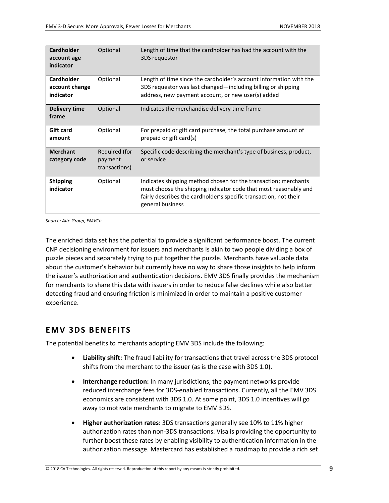| <b>Cardholder</b><br>account age<br>indicator    | Optional                                  | Length of time that the cardholder has had the account with the<br>3DS requestor                                                                                                                                             |
|--------------------------------------------------|-------------------------------------------|------------------------------------------------------------------------------------------------------------------------------------------------------------------------------------------------------------------------------|
| <b>Cardholder</b><br>account change<br>indicator | Optional                                  | Length of time since the cardholder's account information with the<br>3DS requestor was last changed—including billing or shipping<br>address, new payment account, or new user(s) added                                     |
| <b>Delivery time</b><br>frame                    | Optional                                  | Indicates the merchandise delivery time frame                                                                                                                                                                                |
| <b>Gift card</b><br>amount                       | Optional                                  | For prepaid or gift card purchase, the total purchase amount of<br>prepaid or gift card(s)                                                                                                                                   |
| <b>Merchant</b><br>category code                 | Required (for<br>payment<br>transactions) | Specific code describing the merchant's type of business, product,<br>or service                                                                                                                                             |
| <b>Shipping</b><br>indicator                     | Optional                                  | Indicates shipping method chosen for the transaction; merchants<br>must choose the shipping indicator code that most reasonably and<br>fairly describes the cardholder's specific transaction, not their<br>general business |

*Source: Aite Group, EMVCo*

The enriched data set has the potential to provide a significant performance boost. The current CNP decisioning environment for issuers and merchants is akin to two people dividing a box of puzzle pieces and separately trying to put together the puzzle. Merchants have valuable data about the customer's behavior but currently have no way to share those insights to help inform the issuer's authorization and authentication decisions. EMV 3DS finally provides the mechanism for merchants to share this data with issuers in order to reduce false declines while also better detecting fraud and ensuring friction is minimized in order to maintain a positive customer experience.

### <span id="page-8-0"></span>**EMV 3DS BENEFITS**

The potential benefits to merchants adopting EMV 3DS include the following:

- **Liability shift:** The fraud liability for transactions that travel across the 3DS protocol shifts from the merchant to the issuer (as is the case with 3DS 1.0).
- **Interchange reduction:** In many jurisdictions, the payment networks provide reduced interchange fees for 3DS-enabled transactions. Currently, all the EMV 3DS economics are consistent with 3DS 1.0. At some point, 3DS 1.0 incentives will go away to motivate merchants to migrate to EMV 3DS.
- **Higher authorization rates:** 3DS transactions generally see 10% to 11% higher authorization rates than non-3DS transactions. Visa is providing the opportunity to further boost these rates by enabling visibility to authentication information in the authorization message. Mastercard has established a roadmap to provide a rich set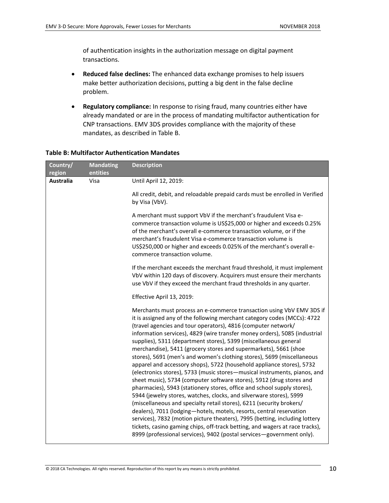of authentication insights in the authorization message on digital payment transactions.

- **Reduced false declines:** The enhanced data exchange promises to help issuers make better authorization decisions, putting a big dent in the false decline problem.
- **Regulatory compliance:** In response to rising fraud, many countries either have already mandated or are in the process of mandating multifactor authentication for CNP transactions. EMV 3DS provides compliance with the majority of these mandates, as described in [Table B.](#page-9-0)

| Country/<br>region | <b>Mandating</b><br>entities | <b>Description</b>                                                                                                                                                                                                                                                                                                                                                                                                                                                                                                                                                                                                                                                                                                                                                                                                                                                                                                                                                                                                                                                                                                                                                                                                                                                                         |
|--------------------|------------------------------|--------------------------------------------------------------------------------------------------------------------------------------------------------------------------------------------------------------------------------------------------------------------------------------------------------------------------------------------------------------------------------------------------------------------------------------------------------------------------------------------------------------------------------------------------------------------------------------------------------------------------------------------------------------------------------------------------------------------------------------------------------------------------------------------------------------------------------------------------------------------------------------------------------------------------------------------------------------------------------------------------------------------------------------------------------------------------------------------------------------------------------------------------------------------------------------------------------------------------------------------------------------------------------------------|
| <b>Australia</b>   | Visa                         | Until April 12, 2019:                                                                                                                                                                                                                                                                                                                                                                                                                                                                                                                                                                                                                                                                                                                                                                                                                                                                                                                                                                                                                                                                                                                                                                                                                                                                      |
|                    |                              | All credit, debit, and reloadable prepaid cards must be enrolled in Verified<br>by Visa (VbV).                                                                                                                                                                                                                                                                                                                                                                                                                                                                                                                                                                                                                                                                                                                                                                                                                                                                                                                                                                                                                                                                                                                                                                                             |
|                    |                              | A merchant must support VbV if the merchant's fraudulent Visa e-<br>commerce transaction volume is US\$25,000 or higher and exceeds 0.25%<br>of the merchant's overall e-commerce transaction volume, or if the<br>merchant's fraudulent Visa e-commerce transaction volume is<br>US\$250,000 or higher and exceeds 0.025% of the merchant's overall e-<br>commerce transaction volume.                                                                                                                                                                                                                                                                                                                                                                                                                                                                                                                                                                                                                                                                                                                                                                                                                                                                                                    |
|                    |                              | If the merchant exceeds the merchant fraud threshold, it must implement<br>VbV within 120 days of discovery. Acquirers must ensure their merchants<br>use VbV if they exceed the merchant fraud thresholds in any quarter.                                                                                                                                                                                                                                                                                                                                                                                                                                                                                                                                                                                                                                                                                                                                                                                                                                                                                                                                                                                                                                                                 |
|                    |                              | Effective April 13, 2019:                                                                                                                                                                                                                                                                                                                                                                                                                                                                                                                                                                                                                                                                                                                                                                                                                                                                                                                                                                                                                                                                                                                                                                                                                                                                  |
|                    |                              | Merchants must process an e-commerce transaction using VbV EMV 3DS if<br>it is assigned any of the following merchant category codes (MCCs): 4722<br>(travel agencies and tour operators), 4816 (computer network/<br>information services), 4829 (wire transfer money orders), 5085 (industrial<br>supplies), 5311 (department stores), 5399 (miscellaneous general<br>merchandise), 5411 (grocery stores and supermarkets), 5661 (shoe<br>stores), 5691 (men's and women's clothing stores), 5699 (miscellaneous<br>apparel and accessory shops), 5722 (household appliance stores), 5732<br>(electronics stores), 5733 (music stores-musical instruments, pianos, and<br>sheet music), 5734 (computer software stores), 5912 (drug stores and<br>pharmacies), 5943 (stationery stores, office and school supply stores),<br>5944 (jewelry stores, watches, clocks, and silverware stores), 5999<br>(miscellaneous and specialty retail stores), 6211 (security brokers/<br>dealers), 7011 (lodging-hotels, motels, resorts, central reservation<br>services), 7832 (motion picture theaters), 7995 (betting, including lottery<br>tickets, casino gaming chips, off-track betting, and wagers at race tracks),<br>8999 (professional services), 9402 (postal services-government only). |

#### <span id="page-9-0"></span>**Table B: Multifactor Authentication Mandates**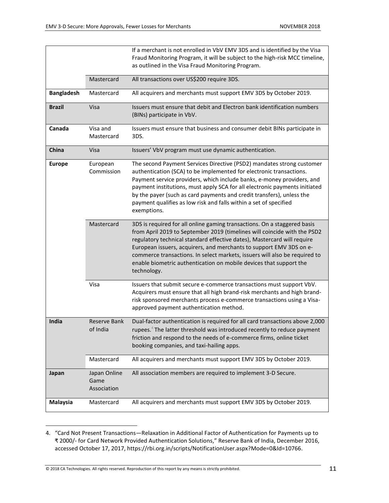|                   |                                     | If a merchant is not enrolled in VbV EMV 3DS and is identified by the Visa<br>Fraud Monitoring Program, it will be subject to the high-risk MCC timeline,<br>as outlined in the Visa Fraud Monitoring Program.                                                                                                                                                                                                                                                            |
|-------------------|-------------------------------------|---------------------------------------------------------------------------------------------------------------------------------------------------------------------------------------------------------------------------------------------------------------------------------------------------------------------------------------------------------------------------------------------------------------------------------------------------------------------------|
|                   | Mastercard                          | All transactions over US\$200 require 3DS.                                                                                                                                                                                                                                                                                                                                                                                                                                |
|                   |                                     |                                                                                                                                                                                                                                                                                                                                                                                                                                                                           |
| <b>Bangladesh</b> | Mastercard                          | All acquirers and merchants must support EMV 3DS by October 2019.                                                                                                                                                                                                                                                                                                                                                                                                         |
| <b>Brazil</b>     | Visa                                | Issuers must ensure that debit and Electron bank identification numbers<br>(BINs) participate in VbV.                                                                                                                                                                                                                                                                                                                                                                     |
| Canada            | Visa and<br>Mastercard              | Issuers must ensure that business and consumer debit BINs participate in<br>3DS.                                                                                                                                                                                                                                                                                                                                                                                          |
| China             | Visa                                | Issuers' VbV program must use dynamic authentication.                                                                                                                                                                                                                                                                                                                                                                                                                     |
| <b>Europe</b>     | European<br>Commission              | The second Payment Services Directive (PSD2) mandates strong customer<br>authentication (SCA) to be implemented for electronic transactions.<br>Payment service providers, which include banks, e-money providers, and<br>payment institutions, must apply SCA for all electronic payments initiated<br>by the payer (such as card payments and credit transfers), unless the<br>payment qualifies as low risk and falls within a set of specified<br>exemptions.         |
|                   | Mastercard                          | 3DS is required for all online gaming transactions. On a staggered basis<br>from April 2019 to September 2019 (timelines will coincide with the PSD2<br>regulatory technical standard effective dates), Mastercard will require<br>European issuers, acquirers, and merchants to support EMV 3DS on e-<br>commerce transactions. In select markets, issuers will also be required to<br>enable biometric authentication on mobile devices that support the<br>technology. |
|                   | Visa                                | Issuers that submit secure e-commerce transactions must support VbV.<br>Acquirers must ensure that all high brand-risk merchants and high brand-<br>risk sponsored merchants process e-commerce transactions using a Visa-<br>approved payment authentication method.                                                                                                                                                                                                     |
| India             | <b>Reserve Bank</b><br>of India     | Dual-factor authentication is required for all card transactions above 2,000<br>rupees. <sup>4</sup> The latter threshold was introduced recently to reduce payment<br>friction and respond to the needs of e-commerce firms, online ticket<br>booking companies, and taxi-hailing apps.                                                                                                                                                                                  |
|                   | Mastercard                          | All acquirers and merchants must support EMV 3DS by October 2019.                                                                                                                                                                                                                                                                                                                                                                                                         |
| Japan             | Japan Online<br>Game<br>Association | All association members are required to implement 3-D Secure.                                                                                                                                                                                                                                                                                                                                                                                                             |
| Malaysia          | Mastercard                          | All acquirers and merchants must support EMV 3DS by October 2019.                                                                                                                                                                                                                                                                                                                                                                                                         |

<sup>4.</sup> "Card Not Present Transactions—Relaxation in Additional Factor of Authentication for Payments up to ₹ 2000/- for Card Network Provided Authentication Solutions," Reserve Bank of India, December 2016, accessed October 17, 2017, https://rbi.org.in/scripts/NotificationUser.aspx?Mode=0&Id=10766.

 $\overline{\phantom{a}}$ 

<sup>© 2018</sup> CA Technologies. All rights reserved. Reproduction of this report by any means is strictly prohibited. **11**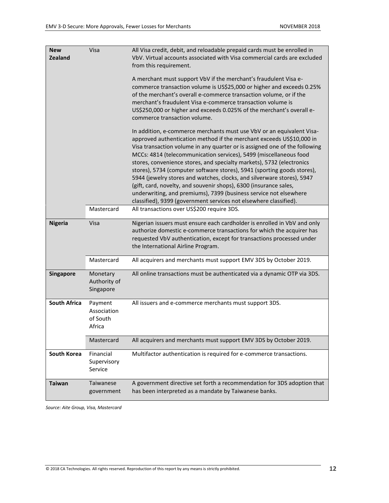| <b>New</b><br><b>Zealand</b> | Visa                                         | All Visa credit, debit, and reloadable prepaid cards must be enrolled in<br>VbV. Virtual accounts associated with Visa commercial cards are excluded<br>from this requirement.<br>A merchant must support VbV if the merchant's fraudulent Visa e-<br>commerce transaction volume is US\$25,000 or higher and exceeds 0.25%<br>of the merchant's overall e-commerce transaction volume, or if the<br>merchant's fraudulent Visa e-commerce transaction volume is<br>US\$250,000 or higher and exceeds 0.025% of the merchant's overall e-<br>commerce transaction volume.                                                                                                                                                                     |
|------------------------------|----------------------------------------------|-----------------------------------------------------------------------------------------------------------------------------------------------------------------------------------------------------------------------------------------------------------------------------------------------------------------------------------------------------------------------------------------------------------------------------------------------------------------------------------------------------------------------------------------------------------------------------------------------------------------------------------------------------------------------------------------------------------------------------------------------|
|                              |                                              | In addition, e-commerce merchants must use VbV or an equivalent Visa-<br>approved authentication method if the merchant exceeds US\$10,000 in<br>Visa transaction volume in any quarter or is assigned one of the following<br>MCCs: 4814 (telecommunication services), 5499 (miscellaneous food<br>stores, convenience stores, and specialty markets), 5732 (electronics<br>stores), 5734 (computer software stores), 5941 (sporting goods stores),<br>5944 (jewelry stores and watches, clocks, and silverware stores), 5947<br>(gift, card, novelty, and souvenir shops), 6300 (insurance sales,<br>underwriting, and premiums), 7399 (business service not elsewhere<br>classified), 9399 (government services not elsewhere classified). |
|                              | Mastercard                                   | All transactions over US\$200 require 3DS.                                                                                                                                                                                                                                                                                                                                                                                                                                                                                                                                                                                                                                                                                                    |
| <b>Nigeria</b>               | Visa                                         | Nigerian issuers must ensure each cardholder is enrolled in VbV and only<br>authorize domestic e-commerce transactions for which the acquirer has<br>requested VbV authentication, except for transactions processed under<br>the International Airline Program.                                                                                                                                                                                                                                                                                                                                                                                                                                                                              |
|                              | Mastercard                                   | All acquirers and merchants must support EMV 3DS by October 2019.                                                                                                                                                                                                                                                                                                                                                                                                                                                                                                                                                                                                                                                                             |
| Singapore                    | Monetary<br>Authority of<br>Singapore        | All online transactions must be authenticated via a dynamic OTP via 3DS.                                                                                                                                                                                                                                                                                                                                                                                                                                                                                                                                                                                                                                                                      |
| <b>South Africa</b>          | Payment<br>Association<br>of South<br>Africa | All issuers and e-commerce merchants must support 3DS.                                                                                                                                                                                                                                                                                                                                                                                                                                                                                                                                                                                                                                                                                        |
|                              | Mastercard                                   | All acquirers and merchants must support EMV 3DS by October 2019.                                                                                                                                                                                                                                                                                                                                                                                                                                                                                                                                                                                                                                                                             |
| South Korea                  | Financial<br>Supervisory<br>Service          | Multifactor authentication is required for e-commerce transactions.                                                                                                                                                                                                                                                                                                                                                                                                                                                                                                                                                                                                                                                                           |
| <b>Taiwan</b>                | Taiwanese<br>government                      | A government directive set forth a recommendation for 3DS adoption that<br>has been interpreted as a mandate by Taiwanese banks.                                                                                                                                                                                                                                                                                                                                                                                                                                                                                                                                                                                                              |

<span id="page-11-0"></span>*Source: Aite Group, Visa, Mastercard*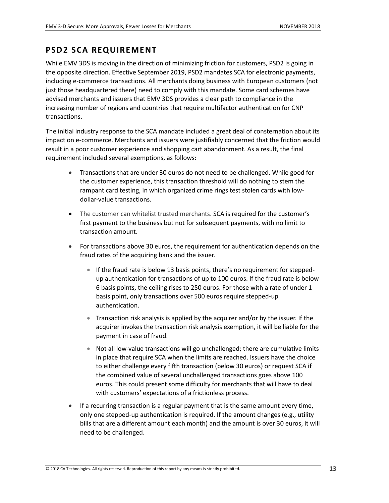### **PSD2 SCA REQUIREMENT**

While EMV 3DS is moving in the direction of minimizing friction for customers, PSD2 is going in the opposite direction. Effective September 2019, PSD2 mandates SCA for electronic payments, including e-commerce transactions. All merchants doing business with European customers (not just those headquartered there) need to comply with this mandate. Some card schemes have advised merchants and issuers that EMV 3DS provides a clear path to compliance in the increasing number of regions and countries that require multifactor authentication for CNP transactions.

The initial industry response to the SCA mandate included a great deal of consternation about its impact on e-commerce. Merchants and issuers were justifiably concerned that the friction would result in a poor customer experience and shopping cart abandonment. As a result, the final requirement included several exemptions, as follows:

- Transactions that are under 30 euros do not need to be challenged. While good for the customer experience, this transaction threshold will do nothing to stem the rampant card testing, in which organized crime rings test stolen cards with lowdollar-value transactions.
- The customer can whitelist trusted merchants. SCA is required for the customer's first payment to the business but not for subsequent payments, with no limit to transaction amount.
- For transactions above 30 euros, the requirement for authentication depends on the fraud rates of the acquiring bank and the issuer.
	- If the fraud rate is below 13 basis points, there's no requirement for steppedup authentication for transactions of up to 100 euros. If the fraud rate is below 6 basis points, the ceiling rises to 250 euros. For those with a rate of under 1 basis point, only transactions over 500 euros require stepped-up authentication.
	- Transaction risk analysis is applied by the acquirer and/or by the issuer. If the acquirer invokes the transaction risk analysis exemption, it will be liable for the payment in case of fraud.
	- Not all low-value transactions will go unchallenged; there are cumulative limits in place that require SCA when the limits are reached. Issuers have the choice to either challenge every fifth transaction (below 30 euros) or request SCA if the combined value of several unchallenged transactions goes above 100 euros. This could present some difficulty for merchants that will have to deal with customers' expectations of a frictionless process.
- If a recurring transaction is a regular payment that is the same amount every time, only one stepped-up authentication is required. If the amount changes (e.g., utility bills that are a different amount each month) and the amount is over 30 euros, it will need to be challenged.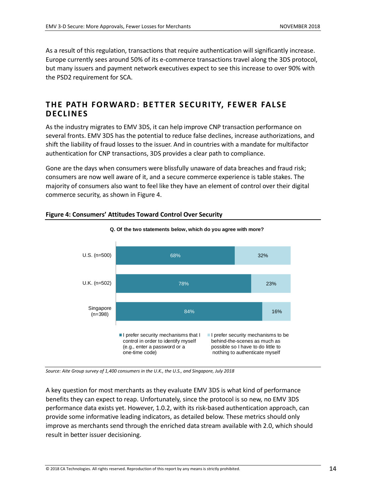As a result of this regulation, transactions that require authentication will significantly increase. Europe currently sees around 50% of its e-commerce transactions travel along the 3DS protocol, but many issuers and payment network executives expect to see this increase to over 90% with the PSD2 requirement for SCA.

### <span id="page-13-0"></span>**THE PATH FORWARD : BE TTER SECURITY, FEWER FALSE D ECLINES**

As the industry migrates to EMV 3DS, it can help improve CNP transaction performance on several fronts. EMV 3DS has the potential to reduce false declines, increase authorizations, and shift the liability of fraud losses to the issuer. And in countries with a mandate for multifactor authentication for CNP transactions, 3DS provides a clear path to compliance.

Gone are the days when consumers were blissfully unaware of data breaches and fraud risk; consumers are now well aware of it, and a secure commerce experience is table stakes. The majority of consumers also want to feel like they have an element of control over their digital commerce security, as shown in [Figure 4.](#page-13-1)



**Q. Of the two statements below, which do you agree with more?**

#### <span id="page-13-1"></span>**Figure 4: Consumers' Attitudes Toward Control Over Security**

*Source: Aite Group survey of 1,400 consumers in the U.K., the U.S., and Singapore, July 2018*

A key question for most merchants as they evaluate EMV 3DS is what kind of performance benefits they can expect to reap. Unfortunately, since the protocol is so new, no EMV 3DS performance data exists yet. However, 1.0.2, with its risk-based authentication approach, can provide some informative leading indicators, as detailed below. These metrics should only improve as merchants send through the enriched data stream available with 2.0, which should result in better issuer decisioning.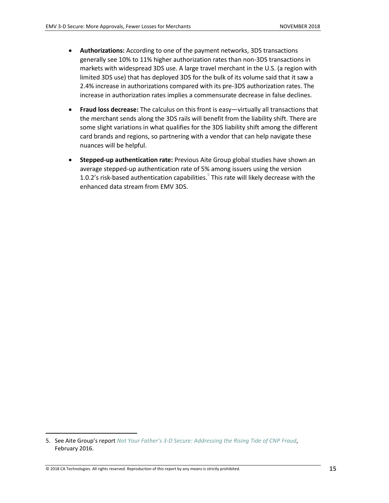- **Authorizations:** According to one of the payment networks, 3DS transactions generally see 10% to 11% higher authorization rates than non-3DS transactions in markets with widespread 3DS use. A large travel merchant in the U.S. (a region with limited 3DS use) that has deployed 3DS for the bulk of its volume said that it saw a 2.4% increase in authorizations compared with its pre-3DS authorization rates. The increase in authorization rates implies a commensurate decrease in false declines.
- **Fraud loss decrease:** The calculus on this front is easy—virtually all transactions that the merchant sends along the 3DS rails will benefit from the liability shift. There are some slight variations in what qualifies for the 3DS liability shift among the different card brands and regions, so partnering with a vendor that can help navigate these nuances will be helpful.
- **Stepped-up authentication rate:** Previous Aite Group global studies have shown an average stepped-up authentication rate of 5% among issuers using the version 1.0.2's risk-based authentication capabilities. $5$  This rate will likely decrease with the enhanced data stream from EMV 3DS.

 $\overline{\phantom{a}}$ 

<sup>5.</sup> See Aite Group's report *Not Your Father's 3[-D Secure: Addressing the Rising Tide of CNP Fraud](http://aitegroup.com/report/not-your-father%E2%80%99s-3-d-secure-addressing-rising-tide-cnp-fraud)*, February 2016.

<sup>© 2018</sup> CA Technologies. All rights reserved. Reproduction of this report by any means is strictly prohibited. **15**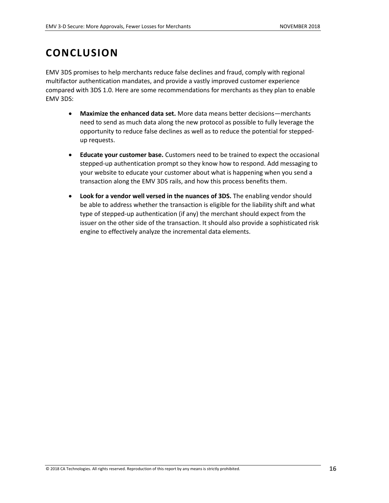### <span id="page-15-0"></span>**CONCLUSION**

EMV 3DS promises to help merchants reduce false declines and fraud, comply with regional multifactor authentication mandates, and provide a vastly improved customer experience compared with 3DS 1.0. Here are some recommendations for merchants as they plan to enable EMV 3DS:

- **Maximize the enhanced data set.** More data means better decisions—merchants need to send as much data along the new protocol as possible to fully leverage the opportunity to reduce false declines as well as to reduce the potential for steppedup requests.
- **Educate your customer base.** Customers need to be trained to expect the occasional stepped-up authentication prompt so they know how to respond. Add messaging to your website to educate your customer about what is happening when you send a transaction along the EMV 3DS rails, and how this process benefits them.
- **Look for a vendor well versed in the nuances of 3DS.** The enabling vendor should be able to address whether the transaction is eligible for the liability shift and what type of stepped-up authentication (if any) the merchant should expect from the issuer on the other side of the transaction. It should also provide a sophisticated risk engine to effectively analyze the incremental data elements.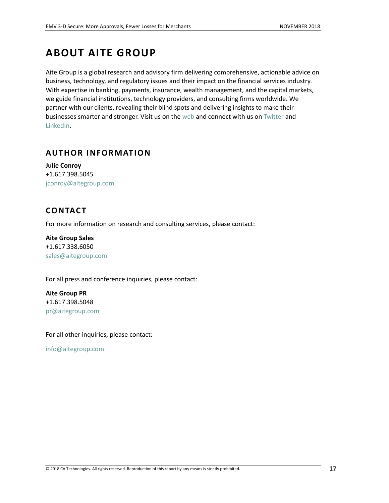## <span id="page-16-0"></span>**ABOUT AITE GROUP**

Aite Group is a global research and advisory firm delivering comprehensive, actionable advice on business, technology, and regulatory issues and their impact on the financial services industry. With expertise in banking, payments, insurance, wealth management, and the capital markets, we guide financial institutions, technology providers, and consulting firms worldwide. We partner with our clients, revealing their blind spots and delivering insights to make their businesses smarter and stronger. Visit us on the [web](http://aitegroup.com/) and connect with us on [Twitter](https://twitter.com/AiteGroup) and [LinkedIn.](https://www.linkedin.com/company/aite-group)

### <span id="page-16-1"></span>**AUTHOR INFORMATION**

**Julie Conroy** +1.617.398.5045 [jconroy@aitegroup.com](mailto:jconroy@aitegroup.com) 

### <span id="page-16-2"></span>**CONTACT**

For more information on research and consulting services, please contact:

**Aite Group Sales** +1.617.338.6050 [sales@aitegroup.com](mailto:sales@aitegroup.com)

For all press and conference inquiries, please contact:

**Aite Group PR** +1.617.398.5048 [pr@aitegroup.com](mailto:pr@aitegroup.com)

For all other inquiries, please contact:

[info@aitegroup.com](mailto:info@aitegroup.com)